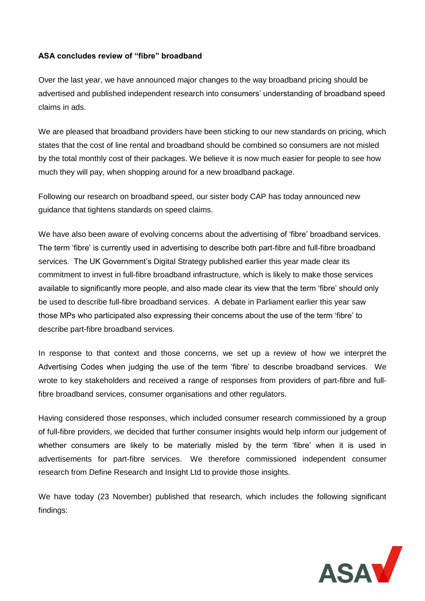## **ASA concludes review of "fibre" broadband**

Over the last year, we have announced major changes to the way broadband pricing should be advertised and published independent research into consumers' understanding of broadband speed claims in ads.

We are pleased that broadband providers have been sticking to our new standards on pricing, which states that the cost of line rental and broadband should be combined so consumers are not misled by the total monthly cost of their packages. We believe it is now much easier for people to see how much they will pay, when shopping around for a new broadband package.

Following our research on broadband speed, our sister body CAP has today announced new guidance that tightens standards on speed claims.

We have also been aware of evolving concerns about the advertising of 'fibre' broadband services. The term 'fibre' is currently used in advertising to describe both part-fibre and full-fibre broadband services. The UK Government's Digital Strategy [published earlier this year](https://www.gov.uk/government/publications/uk-digital-strategy/1-connectivity-building-world-class-digital-infrastructure-for-the-uk) made clear its commitment to invest in full-fibre broadband infrastructure, which is likely to make those services available to significantly more people, and also made clear its view that the term 'fibre' should only be used to describe full-fibre broadband services. A debate in Parliament earlier this year saw those MPs who participated also expressing their concerns about the use of the term 'fibre' to describe part-fibre broadband services.

In response to that context and those concerns, we set up a review of how we interpret the Advertising Codes when judging the use of the term 'fibre' to describe broadband services. We wrote to key stakeholders and received a range of responses from providers of part-fibre and fullfibre broadband services, consumer organisations and other regulators.

Having considered those responses, which included consumer research commissioned by a group of full-fibre providers, we decided that further consumer insights would help inform our judgement of whether consumers are likely to be materially misled by the term 'fibre' when it is used in advertisements for part-fibre services. We therefore commissioned independent consumer research from Define Research and Insight Ltd to provide those insights.

We have today (23 November) published that research, which includes the following significant findings:

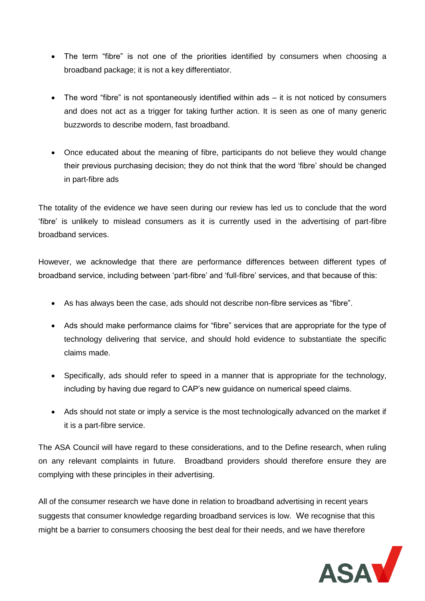- The term "fibre" is not one of the priorities identified by consumers when choosing a broadband package; it is not a key differentiator.
- The word "fibre" is not spontaneously identified within ads it is not noticed by consumers and does not act as a trigger for taking further action. It is seen as one of many generic buzzwords to describe modern, fast broadband.
- Once educated about the meaning of fibre, participants do not believe they would change their previous purchasing decision; they do not think that the word 'fibre' should be changed in part-fibre ads

The totality of the evidence we have seen during our review has led us to conclude that the word 'fibre' is unlikely to mislead consumers as it is currently used in the advertising of part-fibre broadband services.

However, we acknowledge that there are performance differences between different types of broadband service, including between 'part-fibre' and 'full-fibre' services, and that because of this:

- As has always been the case, ads should not describe non-fibre services as "fibre".
- Ads should make performance claims for "fibre" services that are appropriate for the type of technology delivering that service, and should hold evidence to substantiate the specific claims made.
- Specifically, ads should refer to speed in a manner that is appropriate for the technology, including by having due regard to CAP's new guidance on numerical speed claims.
- Ads should not state or imply a service is the most technologically advanced on the market if it is a part-fibre service.

The ASA Council will have regard to these considerations, and to the Define research, when ruling on any relevant complaints in future. Broadband providers should therefore ensure they are complying with these principles in their advertising.

All of the consumer research we have done in relation to broadband advertising in recent years suggests that consumer knowledge regarding broadband services is low. We recognise that this might be a barrier to consumers choosing the best deal for their needs, and we have therefore